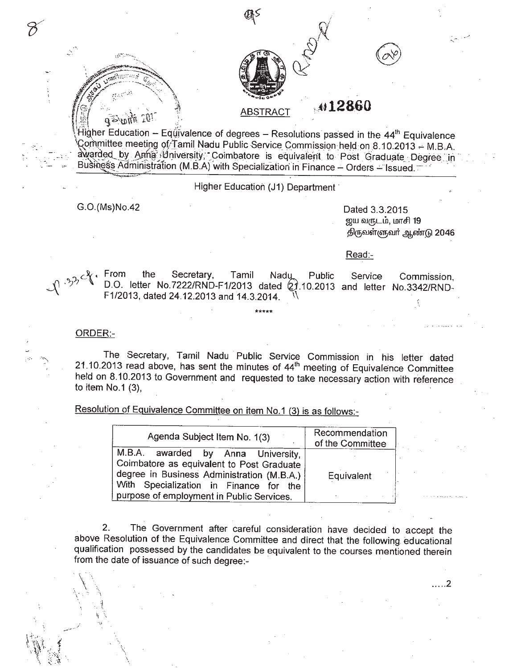

## o~,-' :t' ABSTRACT"'" **12860**

 $\widehat{H}$ igher Education - Eq $\widehat{\mathfrak{gl}}$ ivalence of degrees - Resolutions passed in the 44<sup>th</sup> Equivalence ~orhmitteemeetir:Jg QyIamii Nadu Public Service, CommissiQnheldon8, 10.2013 "" M.B.A. awarded by Anna (University; Coimbatore is equivalent to Post Graduate Degree in Busings's Administration (M.B.A) with Specialization in Finance - Orders - Issued.

Higher Education (J1) Department

G.O.(Ms)No.42 Dated 3.3.2015

*(iff! '~\_.",\.*

 $\eta \eta_{\rm d} \ll 0$ 

 $^{\circ}$   $\sim$  .

**420** 

ஜய வருடம், மாசி 19 திருவள்ளுவர் ஆண்டு 2046

Read:-

p.33cf

From the Secretary, Tamil Nadu, Public D.O. letter No.7222/RND-F1/2013 dated (21.10.201 F1/2013, dated 24.12.2013 and 14.3.2014. \\ Service Commission, and letter NO.3342/RND-

ORDER:-

 $\check{\mathcal{C}}$ 

The Secretary, Tamil Nadu Public Service Commission in his letter dated 21.10.2013 read above, has sent the minutes of  $44^{\text{th}}$  meeting of Equivalence Committee held on 8.10.2013 to Government and requested to take necessary action with reference to item NO.1 (3),

**\*\*\*\*\***

Resolution of Equivalence Committee on item No.1 (3) is as follows:-

| Agenda Subject Item No. 1(3)                                                                                                                                                                                         | Recommendation<br>of the Committee |
|----------------------------------------------------------------------------------------------------------------------------------------------------------------------------------------------------------------------|------------------------------------|
| M.B.A. awarded by Anna University,<br>Coimbatore as equivalent to Post Graduate<br>degree in Business Administration (M.B.A.)<br>With Specialization in Finance for the<br>purpose of employment in Public Services. | Equivalent                         |

2. The Government after careful consideration have decided to accept the above Resolution of the Equivalence Committee and direct that the following educational qualification possessed by the candidates be equivalent to the courses mentioned therein from the date of issuance of such degree:-  $\mathcal{L}$ .

\ .. ... 2